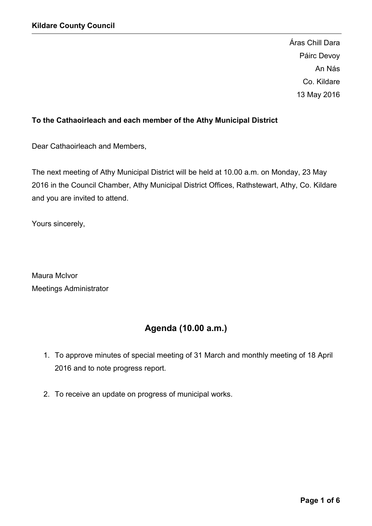Áras Chill Dara Páirc Devoy An Nás Co. Kildare 13 May 2016

# To the Cathaoirleach and each member of the Athy Municipal District

Dear Cathaoirleach and Members,

The next meeting of Athy Municipal District will be held at 10.00 a.m. on Monday, 23 May 2016 in the Council Chamber, Athy Municipal District Offices, Rathstewart, Athy, Co. Kildare and you are invited to attend.

Yours sincerely,

Maura McIvor Meetings Administrator

# Agenda (10.00 a.m.)

- 1. To approve minutes of special meeting of 31 March and monthly meeting of 18 April 2016 and to note progress report.
- 2. To receive an update on progress of municipal works.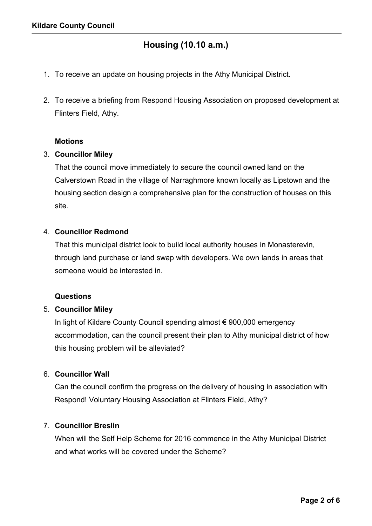# Housing (10.10 a.m.)

- 1. To receive an update on housing projects in the Athy Municipal District.
- 2. To receive a briefing from Respond Housing Association on proposed development at Flinters Field, Athy.

# **Motions**

### 3. Councillor Miley

That the council move immediately to secure the council owned land on the Calverstown Road in the village of Narraghmore known locally as Lipstown and the housing section design a comprehensive plan for the construction of houses on this site.

# 4. Councillor Redmond

That this municipal district look to build local authority houses in Monasterevin, through land purchase or land swap with developers. We own lands in areas that someone would be interested in.

#### Questions

# 5. Councillor Miley

In light of Kildare County Council spending almost € 900,000 emergency accommodation, can the council present their plan to Athy municipal district of how this housing problem will be alleviated?

# 6. Councillor Wall

Can the council confirm the progress on the delivery of housing in association with Respond! Voluntary Housing Association at Flinters Field, Athy?

# 7. Councillor Breslin

When will the Self Help Scheme for 2016 commence in the Athy Municipal District and what works will be covered under the Scheme?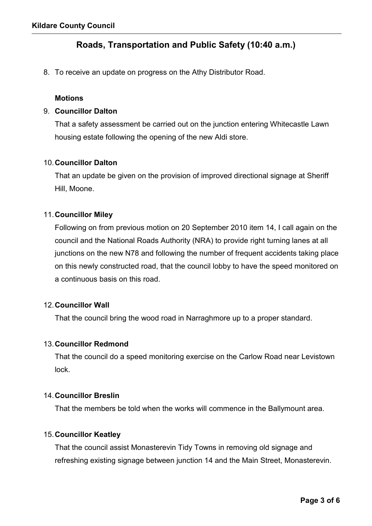# Roads, Transportation and Public Safety (10:40 a.m.)

8. To receive an update on progress on the Athy Distributor Road.

### **Motions**

### 9. Councillor Dalton

That a safety assessment be carried out on the junction entering Whitecastle Lawn housing estate following the opening of the new Aldi store.

### 10.Councillor Dalton

That an update be given on the provision of improved directional signage at Sheriff Hill, Moone.

### 11.Councillor Miley

Following on from previous motion on 20 September 2010 item 14, I call again on the council and the National Roads Authority (NRA) to provide right turning lanes at all junctions on the new N78 and following the number of frequent accidents taking place on this newly constructed road, that the council lobby to have the speed monitored on a continuous basis on this road.

#### 12.Councillor Wall

That the council bring the wood road in Narraghmore up to a proper standard.

#### 13.Councillor Redmond

That the council do a speed monitoring exercise on the Carlow Road near Levistown lock.

### 14.Councillor Breslin

That the members be told when the works will commence in the Ballymount area.

#### 15.Councillor Keatley

That the council assist Monasterevin Tidy Towns in removing old signage and refreshing existing signage between junction 14 and the Main Street, Monasterevin.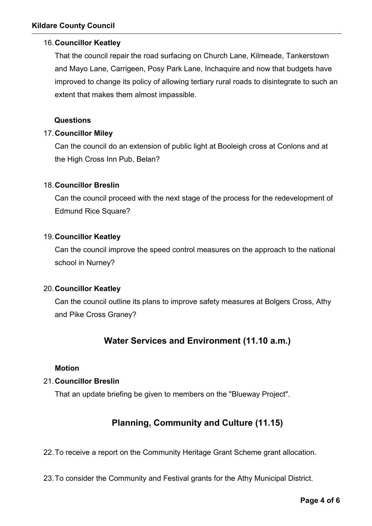# 16.Councillor Keatley

That the council repair the road surfacing on Church Lane, Kilmeade, Tankerstown and Mayo Lane, Carrigeen, Posy Park Lane, Inchaquire and now that budgets have improved to change its policy of allowing tertiary rural roads to disintegrate to such an extent that makes them almost impassible.

# Questions

# 17.Councillor Miley

Can the council do an extension of public light at Booleigh cross at Conlons and at the High Cross Inn Pub, Belan?

# 18.Councillor Breslin

Can the council proceed with the next stage of the process for the redevelopment of Edmund Rice Square?

# 19.Councillor Keatley

Can the council improve the speed control measures on the approach to the national school in Nurney?

# 20.Councillor Keatley

Can the council outline its plans to improve safety measures at Bolgers Cross, Athy and Pike Cross Graney?

# Water Services and Environment (11.10 a.m.)

# Motion

# 21.Councillor Breslin

That an update briefing be given to members on the "Blueway Project".

# Planning, Community and Culture (11.15)

22.To receive a report on the Community Heritage Grant Scheme grant allocation.

23.To consider the Community and Festival grants for the Athy Municipal District.